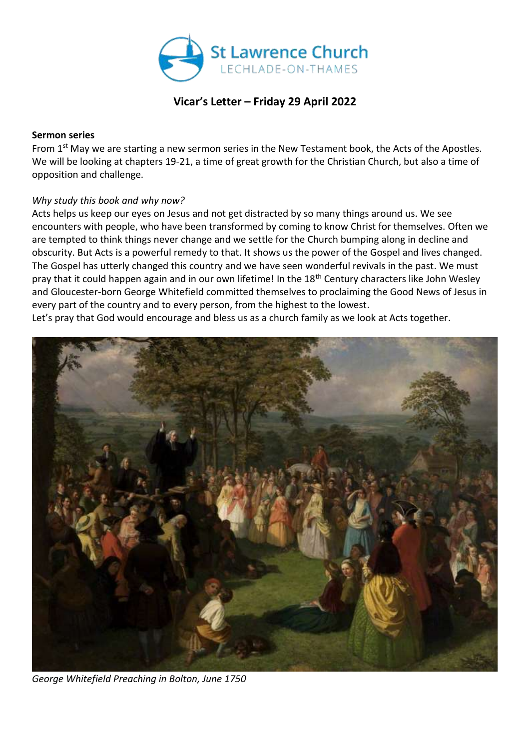

# **Vicar's Letter – Friday 29 April 2022**

#### **Sermon series**

From 1<sup>st</sup> May we are starting a new sermon series in the New Testament book, the Acts of the Apostles. We will be looking at chapters 19-21, a time of great growth for the Christian Church, but also a time of opposition and challenge.

## *Why study this book and why now?*

Acts helps us keep our eyes on Jesus and not get distracted by so many things around us. We see encounters with people, who have been transformed by coming to know Christ for themselves. Often we are tempted to think things never change and we settle for the Church bumping along in decline and obscurity. But Acts is a powerful remedy to that. It shows us the power of the Gospel and lives changed. The Gospel has utterly changed this country and we have seen wonderful revivals in the past. We must pray that it could happen again and in our own lifetime! In the 18<sup>th</sup> Century characters like John Wesley and Gloucester-born George Whitefield committed themselves to proclaiming the Good News of Jesus in every part of the country and to every person, from the highest to the lowest.

Let's pray that God would encourage and bless us as a church family as we look at Acts together.



*George Whitefield Preaching in Bolton, June 1750*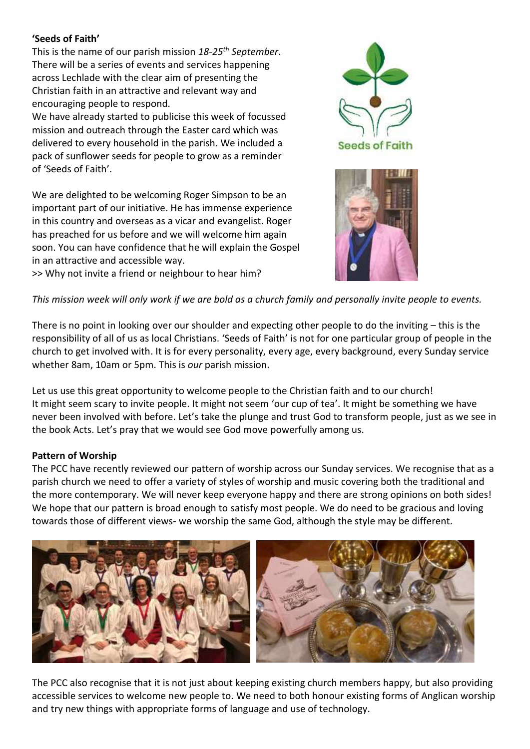## **'Seeds of Faith'**

This is the name of our parish mission *18-25th September*. There will be a series of events and services happening across Lechlade with the clear aim of presenting the Christian faith in an attractive and relevant way and encouraging people to respond.

We have already started to publicise this week of focussed mission and outreach through the Easter card which was delivered to every household in the parish. We included a pack of sunflower seeds for people to grow as a reminder of 'Seeds of Faith'.

We are delighted to be welcoming Roger Simpson to be an important part of our initiative. He has immense experience in this country and overseas as a vicar and evangelist. Roger has preached for us before and we will welcome him again soon. You can have confidence that he will explain the Gospel in an attractive and accessible way.





>> Why not invite a friend or neighbour to hear him?

#### *This mission week will only work if we are bold as a church family and personally invite people to events.*

There is no point in looking over our shoulder and expecting other people to do the inviting – this is the responsibility of all of us as local Christians. 'Seeds of Faith' is not for one particular group of people in the church to get involved with. It is for every personality, every age, every background, every Sunday service whether 8am, 10am or 5pm. This is *our* parish mission.

Let us use this great opportunity to welcome people to the Christian faith and to our church! It might seem scary to invite people. It might not seem 'our cup of tea'. It might be something we have never been involved with before. Let's take the plunge and trust God to transform people, just as we see in the book Acts. Let's pray that we would see God move powerfully among us.

#### **Pattern of Worship**

The PCC have recently reviewed our pattern of worship across our Sunday services. We recognise that as a parish church we need to offer a variety of styles of worship and music covering both the traditional and the more contemporary. We will never keep everyone happy and there are strong opinions on both sides! We hope that our pattern is broad enough to satisfy most people. We do need to be gracious and loving towards those of different views- we worship the same God, although the style may be different.



The PCC also recognise that it is not just about keeping existing church members happy, but also providing accessible services to welcome new people to. We need to both honour existing forms of Anglican worship and try new things with appropriate forms of language and use of technology.